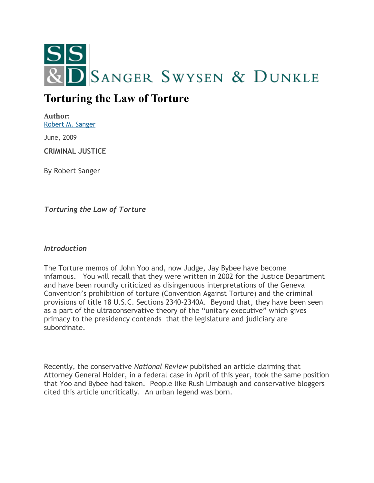

# **Torturing the Law of Torture**

**Author:** [Robert M. Sanger](http://sangerswysen.com/robert-m-sanger)

June, 2009

**CRIMINAL JUSTICE**

By Robert Sanger

*Torturing the Law of Torture*

*Introduction*

The Torture memos of John Yoo and, now Judge, Jay Bybee have become infamous. You will recall that they were written in 2002 for the Justice Department and have been roundly criticized as disingenuous interpretations of the Geneva Convention's prohibition of torture (Convention Against Torture) and the criminal provisions of title 18 U.S.C. Sections 2340-2340A. Beyond that, they have been seen as a part of the ultraconservative theory of the "unitary executive" which gives primacy to the presidency contends that the legislature and judiciary are subordinate.

Recently, the conservative *National Review* published an article claiming that Attorney General Holder, in a federal case in April of this year, took the same position that Yoo and Bybee had taken. People like Rush Limbaugh and conservative bloggers cited this article uncritically. An urban legend was born.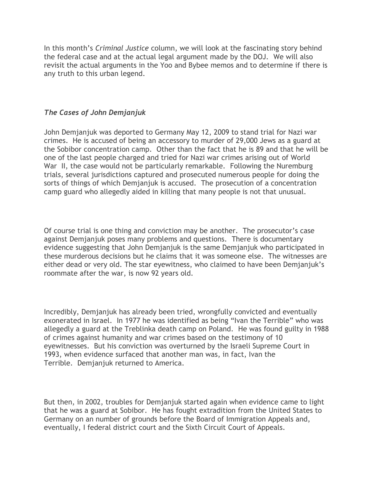In this month's *Criminal Justice* column, we will look at the fascinating story behind the federal case and at the actual legal argument made by the DOJ. We will also revisit the actual arguments in the Yoo and Bybee memos and to determine if there is any truth to this urban legend.

### *The Cases of John Demjanjuk*

John Demjanjuk was deported to Germany May 12, 2009 to stand trial for Nazi war crimes. He is accused of being an accessory to murder of 29,000 Jews as a guard at the Sobibor concentration camp. Other than the fact that he is 89 and that he will be one of the last people charged and tried for Nazi war crimes arising out of World War II, the case would not be particularly remarkable. Following the Nuremburg trials, several jurisdictions captured and prosecuted numerous people for doing the sorts of things of which Demjanjuk is accused. The prosecution of a concentration camp guard who allegedly aided in killing that many people is not that unusual.

Of course trial is one thing and conviction may be another. The prosecutor's case against Demjanjuk poses many problems and questions. There is documentary evidence suggesting that John Demjanjuk is the same Demjanjuk who participated in these murderous decisions but he claims that it was someone else. The witnesses are either dead or very old. The star eyewitness, who claimed to have been Demjanjuk's roommate after the war, is now 92 years old.

Incredibly, Demjanjuk has already been tried, wrongfully convicted and eventually exonerated in Israel. In 1977 he was identified as being "Ivan the Terrible" who was allegedly a guard at the Treblinka death camp on Poland. He was found guilty in 1988 of crimes against humanity and war crimes based on the testimony of 10 eyewitnesses. But his conviction was overturned by the Israeli Supreme Court in 1993, when evidence surfaced that another man was, in fact, Ivan the Terrible. Demjanjuk returned to America.

But then, in 2002, troubles for Demjanjuk started again when evidence came to light that he was a guard at Sobibor. He has fought extradition from the United States to Germany on an number of grounds before the Board of Immigration Appeals and, eventually, I federal district court and the Sixth Circuit Court of Appeals.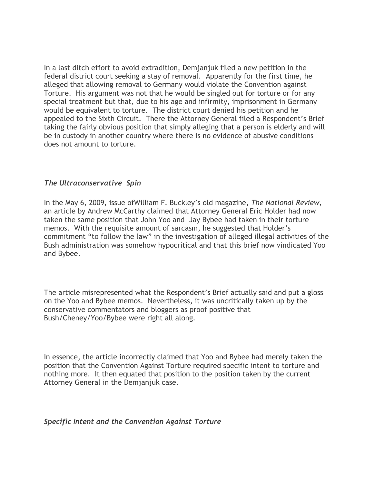In a last ditch effort to avoid extradition, Demjanjuk filed a new petition in the federal district court seeking a stay of removal. Apparently for the first time, he alleged that allowing removal to Germany would violate the Convention against Torture. His argument was not that he would be singled out for torture or for any special treatment but that, due to his age and infirmity, imprisonment in Germany would be equivalent to torture. The district court denied his petition and he appealed to the Sixth Circuit. There the Attorney General filed a Respondent's Brief taking the fairly obvious position that simply alleging that a person is elderly and will be in custody in another country where there is no evidence of abusive conditions does not amount to torture.

#### *The Ultraconservative Spin*

In the May 6, 2009, issue ofWilliam F. Buckley's old magazine, *The National Review*, an article by Andrew McCarthy claimed that Attorney General Eric Holder had now taken the same position that John Yoo and Jay Bybee had taken in their torture memos. With the requisite amount of sarcasm, he suggested that Holder's commitment "to follow the law" in the investigation of alleged illegal activities of the Bush administration was somehow hypocritical and that this brief now vindicated Yoo and Bybee.

The article misrepresented what the Respondent's Brief actually said and put a gloss on the Yoo and Bybee memos. Nevertheless, it was uncritically taken up by the conservative commentators and bloggers as proof positive that Bush/Cheney/Yoo/Bybee were right all along.

In essence, the article incorrectly claimed that Yoo and Bybee had merely taken the position that the Convention Against Torture required specific intent to torture and nothing more. It then equated that position to the position taken by the current Attorney General in the Demjanjuk case.

#### *Specific Intent and the Convention Against Torture*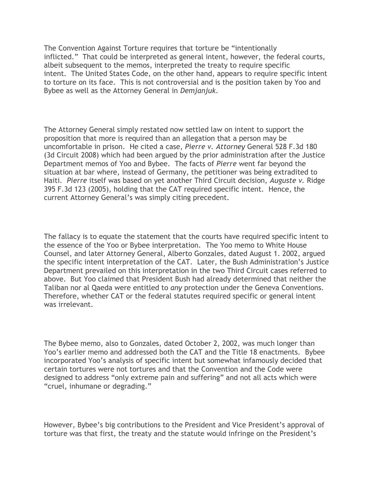The Convention Against Torture requires that torture be "intentionally inflicted." That could be interpreted as general intent, however, the federal courts, albeit subsequent to the memos, interpreted the treaty to require specific intent. The United States Code, on the other hand, appears to require specific intent to torture on its face. This is not controversial and is the position taken by Yoo and Bybee as well as the Attorney General in *Demjanjuk*.

The Attorney General simply restated now settled law on intent to support the proposition that more is required than an allegation that a person may be uncomfortable in prison. He cited a case, *Pierre v. Attorney* General 528 F.3d 180 (3d Circuit 2008) which had been argued by the prior administration after the Justice Department memos of Yoo and Bybee. The facts of *Pierre* went far beyond the situation at bar where, instead of Germany, the petitioner was being extradited to Haiti. *Pierre* itself was based on yet another Third Circuit decision, *Auguste v.* Ridge 395 F.3d 123 (2005), holding that the CAT required specific intent. Hence, the current Attorney General's was simply citing precedent.

The fallacy is to equate the statement that the courts have required specific intent to the essence of the Yoo or Bybee interpretation. The Yoo memo to White House Counsel, and later Attorney General, Alberto Gonzales, dated August 1. 2002, argued the specific intent interpretation of the CAT. Later, the Bush Administration's Justice Department prevailed on this interpretation in the two Third Circuit cases referred to above. But Yoo claimed that President Bush had already determined that neither the Taliban nor al Qaeda were entitled to *any* protection under the Geneva Conventions. Therefore, whether CAT or the federal statutes required specific or general intent was irrelevant.

The Bybee memo, also to Gonzales, dated October 2, 2002, was much longer than Yoo's earlier memo and addressed both the CAT and the Title 18 enactments. Bybee incorporated Yoo's analysis of specific intent but somewhat infamously decided that certain tortures were not tortures and that the Convention and the Code were designed to address "only extreme pain and suffering" and not all acts which were "cruel, inhumane or degrading."

However, Bybee's big contributions to the President and Vice President's approval of torture was that first, the treaty and the statute would infringe on the President's